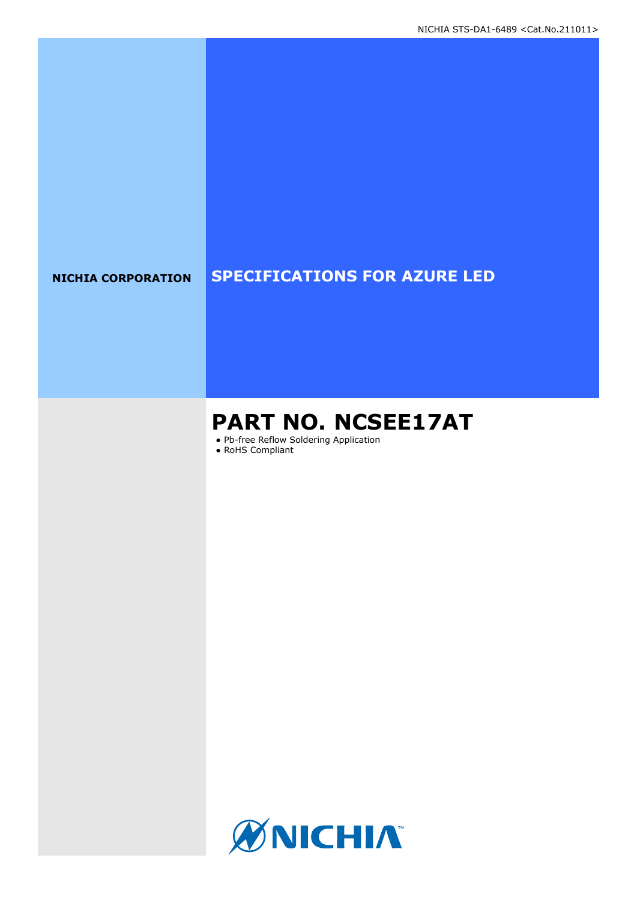### **NICHIA CORPORATION SPECIFICATIONS FOR AZURE LED**

# **PART NO. NCSEE17AT**

● Pb-free Reflow Soldering Application

● RoHS Compliant

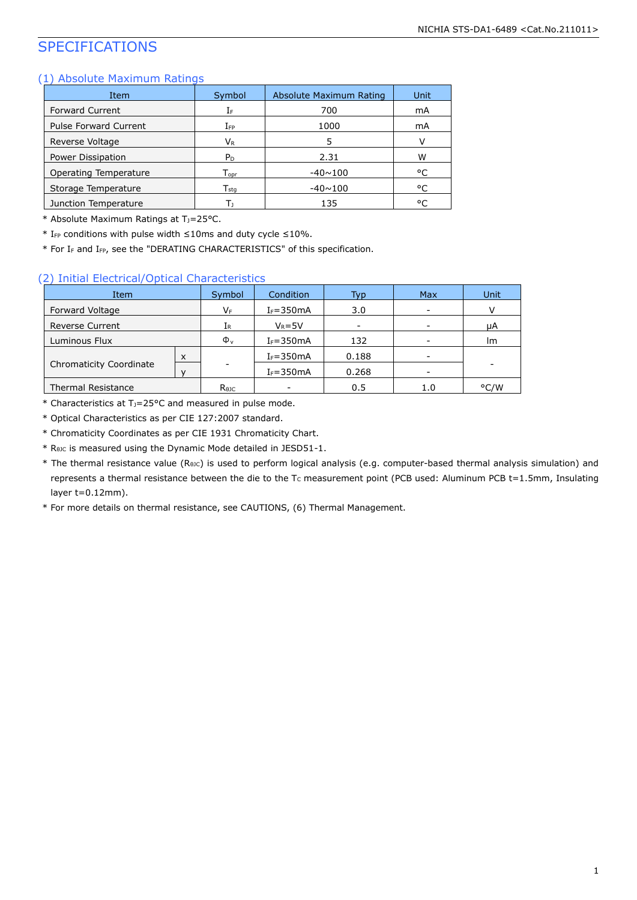### SPECIFICATIONS

#### (1) Absolute Maximum Ratings

| Item                         | Symbol                      | Absolute Maximum Rating | Unit |
|------------------------------|-----------------------------|-------------------------|------|
| <b>Forward Current</b>       | ΙF                          | 700                     | mA   |
| <b>Pulse Forward Current</b> | $I_{FP}$                    | 1000                    | mA   |
| Reverse Voltage              | Vr                          | 5                       | v    |
| Power Dissipation            | P <sub>D</sub>              | 2.31                    | W    |
| Operating Temperature        | $\mathsf{T}_{\mathsf{opr}}$ | $-40 \sim 100$          | °C   |
| Storage Temperature          | $\mathsf{T}_{\mathsf{stq}}$ | $-40 \sim 100$          | °C   |
| Junction Temperature         | Г۱                          | 135                     | ۰ς   |

\* Absolute Maximum Ratings at T<sub>J</sub>=25°C.

\* IFP conditions with pulse width ≤10ms and duty cycle ≤10%.

\* For I<sup>F</sup> and IFP, see the "DERATING CHARACTERISTICS" of this specification.

#### (2) Initial Electrical/Optical Characteristics

| Item                      |   | Symbol                   | Condition     | Typ   | <b>Max</b> | Unit |
|---------------------------|---|--------------------------|---------------|-------|------------|------|
| Forward Voltage           |   | VF                       | $I_F = 350mA$ | 3.0   |            |      |
| <b>Reverse Current</b>    |   | IR                       | $V_R = 5V$    |       |            | μA   |
| Luminous Flux             |   | $\Phi_{v}$               | $I_F = 350mA$ | 132   |            | lm.  |
|                           | X |                          | $I_F = 350mA$ | 0.188 | -          |      |
| Chromaticity Coordinate   |   | $\overline{\phantom{a}}$ | $I_F = 350mA$ | 0.268 |            |      |
| <b>Thermal Resistance</b> |   | $R_{\theta 1C}$          |               | 0.5   | 1.0        | °C/W |

\* Characteristics at TJ=25°C and measured in pulse mode.

\* Optical Characteristics as per CIE 127:2007 standard.

\* Chromaticity Coordinates as per CIE 1931 Chromaticity Chart.

\* RθJC is measured using the Dynamic Mode detailed in JESD51-1.

\* The thermal resistance value (R<sub>θJC</sub>) is used to perform logical analysis (e.g. computer-based thermal analysis simulation) and represents a thermal resistance between the die to the T<sub>c</sub> measurement point (PCB used: Aluminum PCB t=1.5mm, Insulating layer t=0.12mm).

\* For more details on thermal resistance, see CAUTIONS, (6) Thermal Management.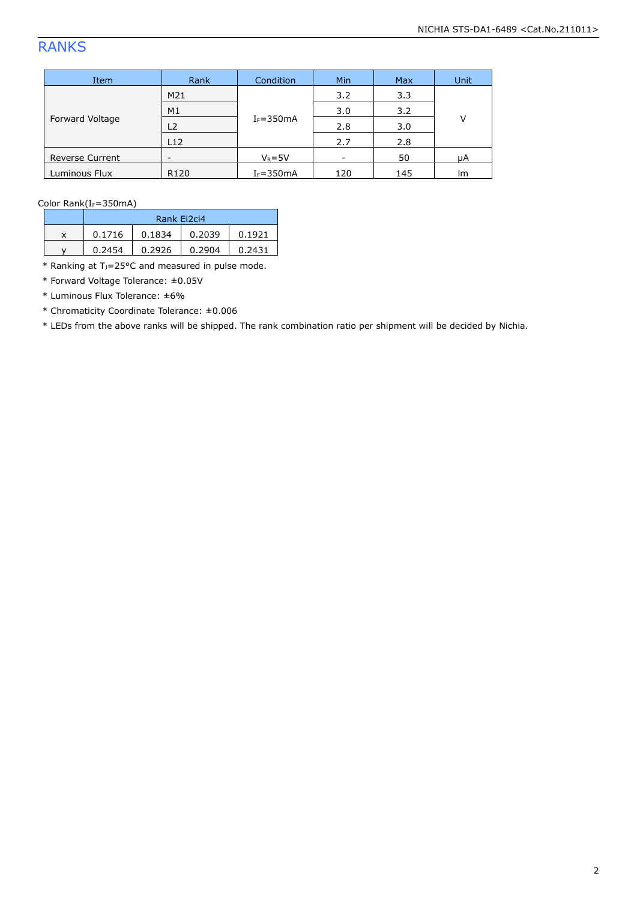## RANKS

| Item                   | Rank           | Condition     | <b>Min</b> | <b>Max</b> | <b>Unit</b> |
|------------------------|----------------|---------------|------------|------------|-------------|
| Forward Voltage        | M21            |               | 3.2        | 3.3        | $\vee$      |
|                        | M1             | $I_F = 350mA$ | 3.0        | 3.2        |             |
|                        | L <sub>2</sub> |               | 2.8        | 3.0        |             |
|                        | L12            |               | 2.7        | 2.8        |             |
| <b>Reverse Current</b> | -              | $V_R = 5V$    | -          | 50         | μA          |
| Luminous Flux          | R120           | $I_F = 350mA$ | 120        | 145        | lm          |

Color Rank(IF=350mA)

|   | Rank Ei2ci4 |        |        |        |  |
|---|-------------|--------|--------|--------|--|
| x | 0.1716      | 0.1834 | 0.2039 | 0.1921 |  |
|   | 0.2454      | 0.2926 | 0.2904 | 0.2431 |  |

 $*$  Ranking at T<sub>J</sub>=25°C and measured in pulse mode.

\* Forward Voltage Tolerance: ±0.05V

\* Luminous Flux Tolerance: ±6%

\* Chromaticity Coordinate Tolerance: ±0.006

\* LEDs from the above ranks will be shipped. The rank combination ratio per shipment will be decided by Nichia.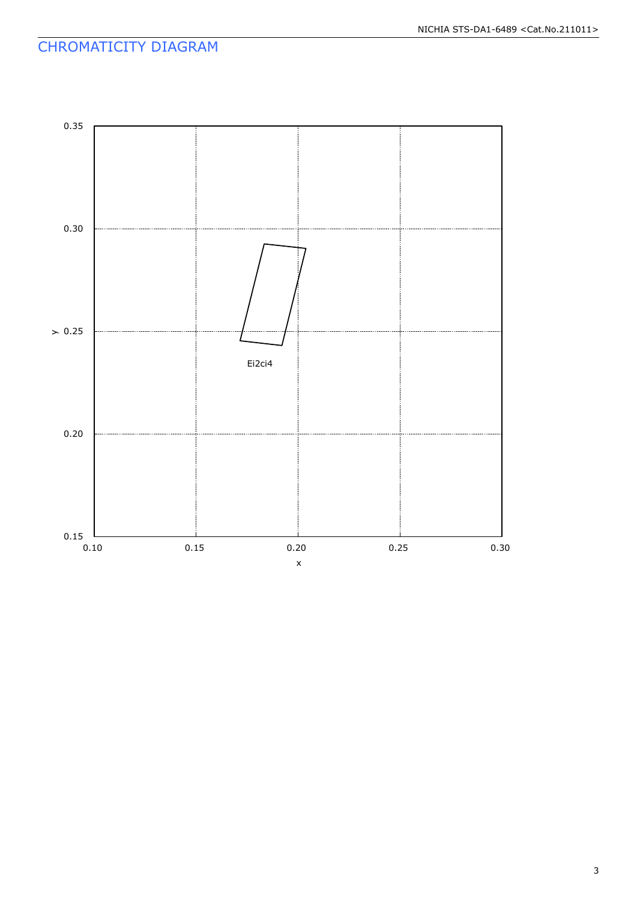### CHROMATICITY DIAGRAM

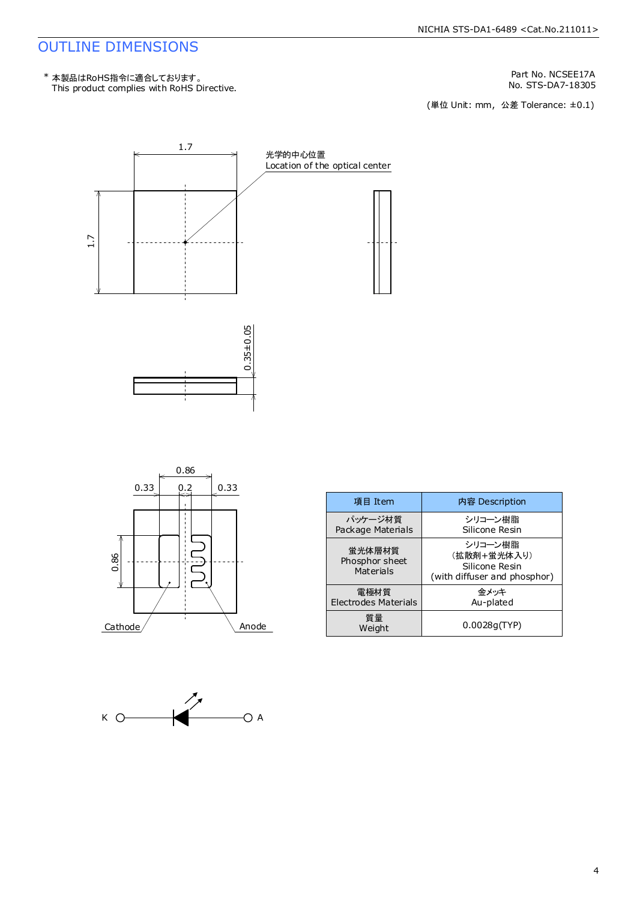### OUTLINE DIMENSIONS

This product complies with RoHS Directive. \* 本製品はRoHS指令に適合しております。

Part No. NCSEE17A<br>No. STS-DA7-18305

No. STS-DA7-18305<br>(単位 Unit: mm,公差 Tolerance: ±0.1)







| 項目 Item                               | 内容 Description                                                           |
|---------------------------------------|--------------------------------------------------------------------------|
| パッケージ材質<br>Package Materials          | シリコーン樹脂<br>Silicone Resin                                                |
| 蛍光体層材質<br>Phosphor sheet<br>Materials | シリコーン樹脂<br>(拡散剤+蛍光体入り)<br>Silicone Resin<br>(with diffuser and phosphor) |
| 電極材質<br>Electrodes Materials          | 金メッキ<br>Au-plated                                                        |
| 質量<br>Weight                          | 0.0028q(TYP)                                                             |

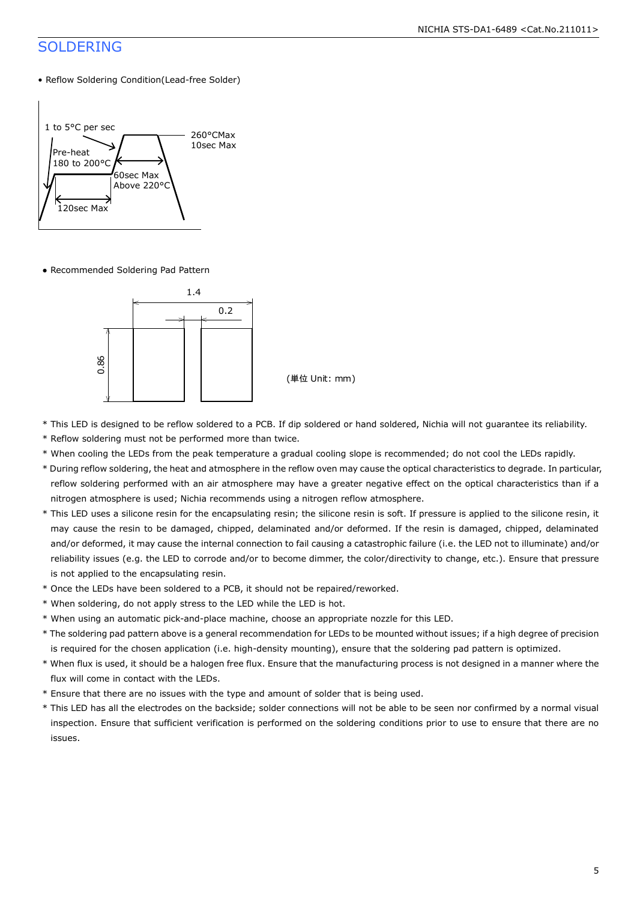### SOLDERING

### • Reflow Soldering Condition(Lead-free Solder)



● Recommended Soldering Pad Pattern



(単位 Unit: mm)

- \* This LED is designed to be reflow soldered to a PCB. If dip soldered or hand soldered, Nichia will not guarantee its reliability.
- \* Reflow soldering must not be performed more than twice.
- \* When cooling the LEDs from the peak temperature a gradual cooling slope is recommended; do not cool the LEDs rapidly.
- \* During reflow soldering, the heat and atmosphere in the reflow oven may cause the optical characteristics to degrade. In particular, reflow soldering performed with an air atmosphere may have a greater negative effect on the optical characteristics than if a nitrogen atmosphere is used; Nichia recommends using a nitrogen reflow atmosphere.
- \* This LED uses a silicone resin for the encapsulating resin; the silicone resin is soft. If pressure is applied to the silicone resin, it may cause the resin to be damaged, chipped, delaminated and/or deformed. If the resin is damaged, chipped, delaminated and/or deformed, it may cause the internal connection to fail causing a catastrophic failure (i.e. the LED not to illuminate) and/or reliability issues (e.g. the LED to corrode and/or to become dimmer, the color/directivity to change, etc.). Ensure that pressure is not applied to the encapsulating resin.
- \* Once the LEDs have been soldered to a PCB, it should not be repaired/reworked.
- \* When soldering, do not apply stress to the LED while the LED is hot.
- \* When using an automatic pick-and-place machine, choose an appropriate nozzle for this LED.
- \* The soldering pad pattern above is a general recommendation for LEDs to be mounted without issues; if a high degree of precision is required for the chosen application (i.e. high-density mounting), ensure that the soldering pad pattern is optimized.
- \* When flux is used, it should be a halogen free flux. Ensure that the manufacturing process is not designed in a manner where the flux will come in contact with the LEDs.
- \* Ensure that there are no issues with the type and amount of solder that is being used.
- \* This LED has all the electrodes on the backside; solder connections will not be able to be seen nor confirmed by a normal visual inspection. Ensure that sufficient verification is performed on the soldering conditions prior to use to ensure that there are no issues.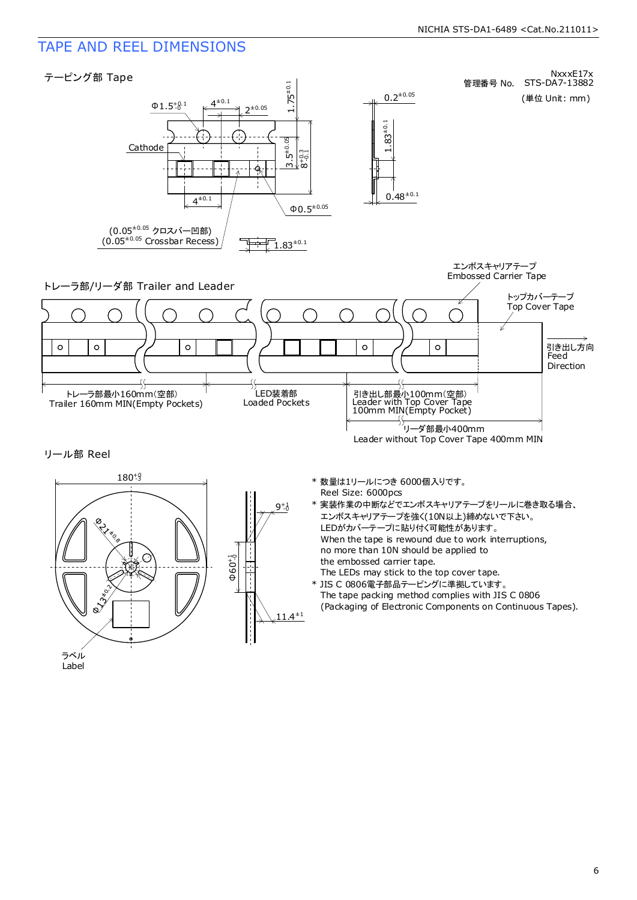### TAPE AND REEL DIMENSIONS

ラベル Label

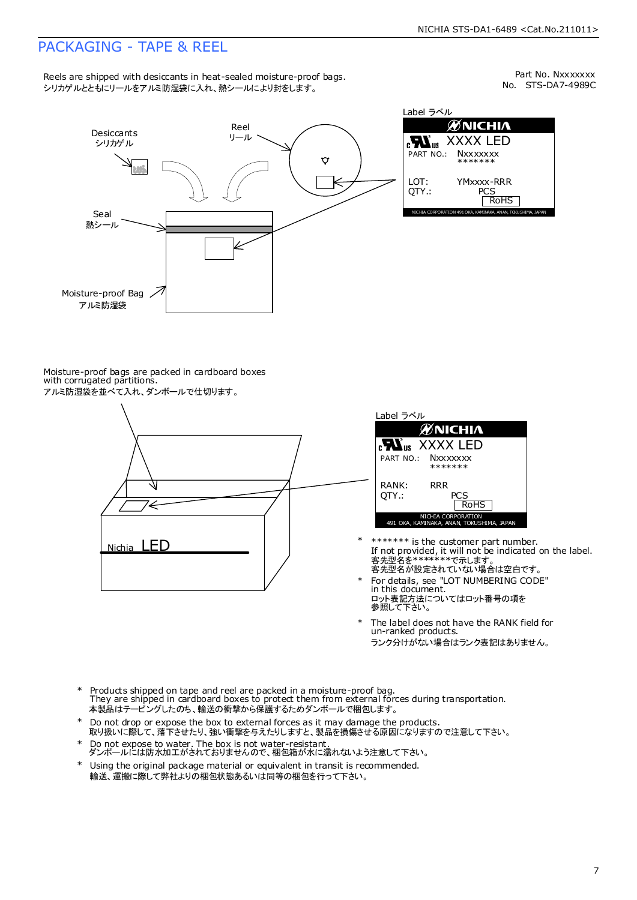### PACKAGING - TAPE & REEL

Reels are shipped with desiccants in heat-sealed moisture-proof bags. シリカゲルとともにリールをアルミ防湿袋に入れ、熱シールにより封をします。

No. STS-DA7-4989C Part No. Nxxxxxxx



Label ラベル **ØNICHIA EN**<sub>us</sub> XXXX LED **Nxxxxxx** \*\*\*\*\*\*\* YMxxxx-RRR PCS<br>RoHS NICHIA CORPORATION 491 OKA, KAMINAKA, ANAN, TOKUSHIMA, JAPAN

Moisture-proof bags are packed in cardboard boxes with corrugated partitions. アルミ防湿袋を並べて入れ、ダンボールで仕切ります。





- 客先型名が設定されていない場合は空白です。 客先型名を\*\*\*\*\*\*\*で示します。 If not provided, it will not be indicated on the label. \*\*\*\*\*\*\* is the customer part number.
- For details, see "LOT NUMBERING CODE" in this document. ロット表記方法についてはロット番号の項を<br>参照して下さい。 \*
- The label does not have the RANK field for un-ranked products. ランク分けがない場合はランク表記はありません。 \*
- Products shipped on tape and reel are packed in a moisture-proof bag. They are shipped in cardboard boxes to protect them from external forces during transportation. 本製品はテーピングしたのち、輸送の衝撃から保護するためダンボールで梱包します。 \*
- Do not drop or expose the box to external forces as it may damage the products. 取り扱いに際して、落下させたり、強い衝撃を与えたりしますと、製品を損傷させる原因になりますので注意して下さい。 \*
- Do not expose to water. The box is not water-resistant. ダンボールには防水加工がされておりませんので、梱包箱が水に濡れないよう注意して下さい。 \*
- \* Using the original package material or equivalent in transit is recommended.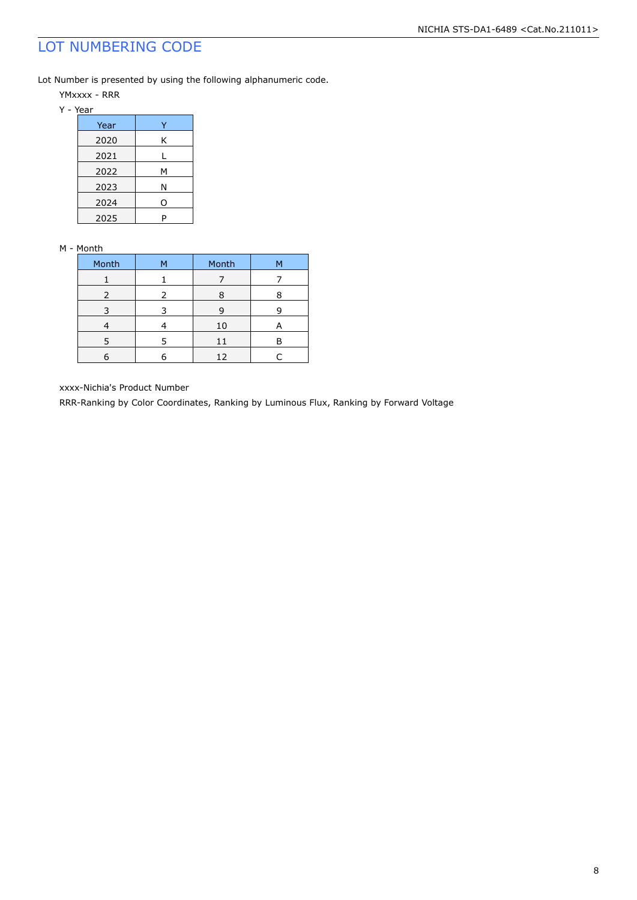### LOT NUMBERING CODE

Lot Number is presented by using the following alphanumeric code.

- YMxxxx RRR
- Y Year

| Year |   |
|------|---|
| 2020 | Κ |
| 2021 |   |
| 2022 | м |
| 2023 | Ν |
| 2024 | O |
| 2025 | P |

#### M - Month

| Month | м | Month | м |
|-------|---|-------|---|
|       |   |       |   |
| 2     | 2 | 8     |   |
| 3     |   | 9     |   |
|       |   | 10    | A |
| 5     | 5 | 11    | Р |
|       |   | 12    |   |

xxxx-Nichia's Product Number

RRR-Ranking by Color Coordinates, Ranking by Luminous Flux, Ranking by Forward Voltage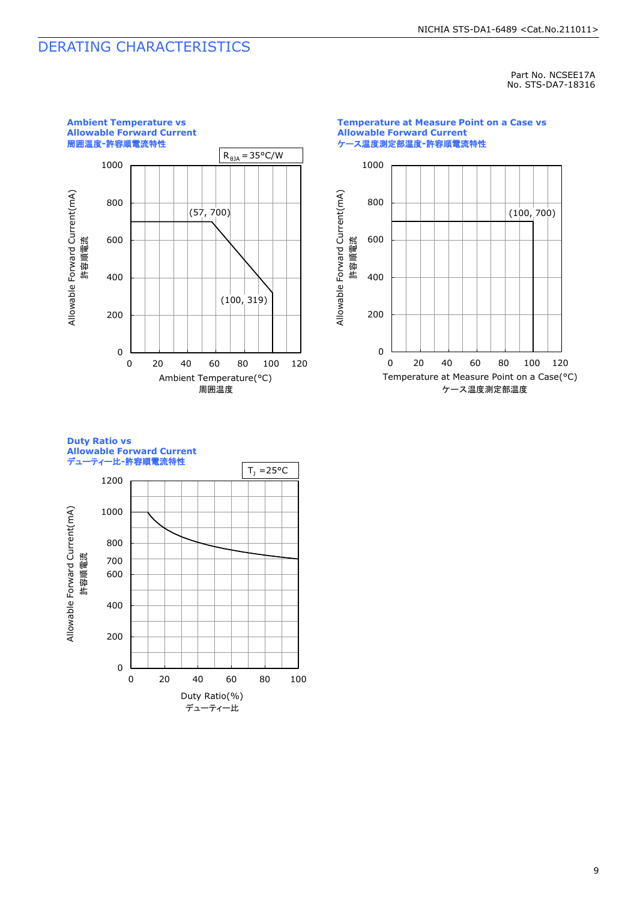### DERATING CHARACTERISTICS

Part No. NCSEE17A No. STS-DA7-18316



**Temperature at Measure Point on a Case vs Allowable Forward Current** ケース温度測定部温度**-**許容順電流特性



**Duty Ratio vs Allowable Forward Current** デューティー比**-**許容順電流特性

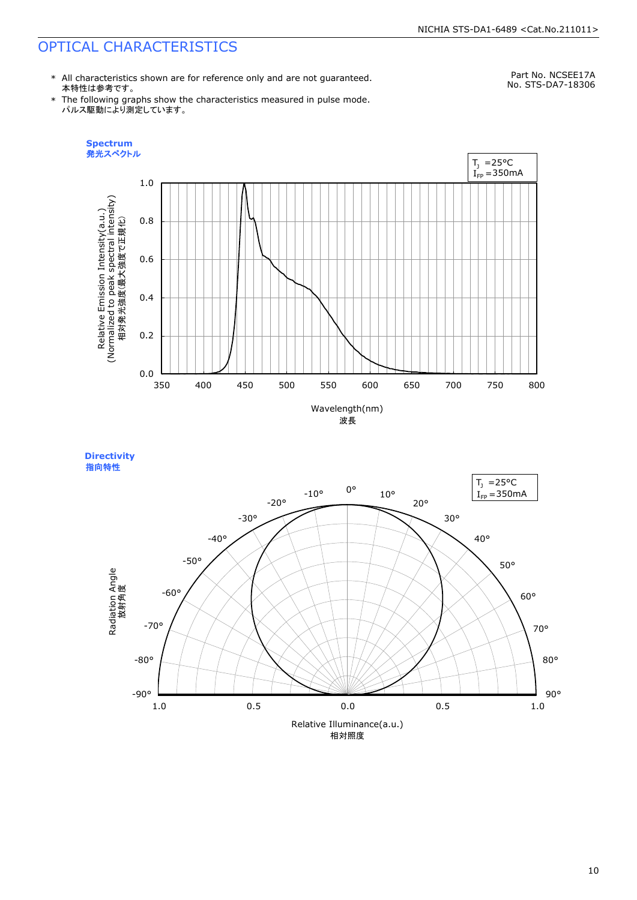### OPTICAL CHARACTERISTICS

\* All characteristics shown are for reference only and are not guaranteed. 本特性は参考です。

\* The following graphs show the characteristics measured in pulse mode. パルス駆動により測定しています。

Part No. NCSEE17A No. STS-DA7-18306





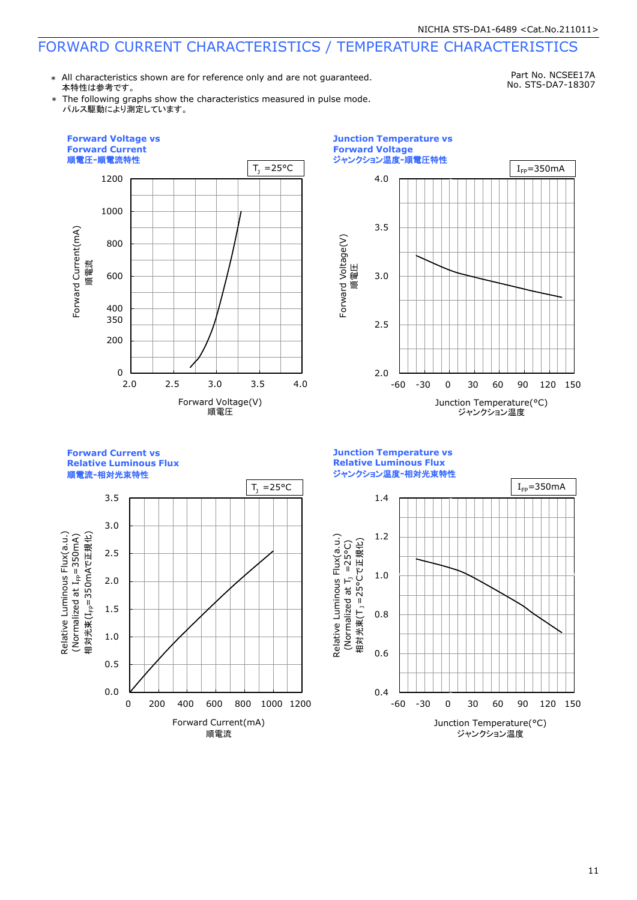### FORWARD CURRENT CHARACTERISTICS / TEMPERATURE CHARACTERISTICS

\* All characteristics shown are for reference only and are not guaranteed. 本特性は参考です。

Part No. NCSEE17A No. STS-DA7-18307

\* The following graphs show the characteristics measured in pulse mode. パルス駆動により測定しています。





**Forward Current vs Relative Luminous Flux**

順電流**-**相対光束特性



**Junction Temperature vs Relative Luminous Flux** ジャンクション温度**-**相対光束特性

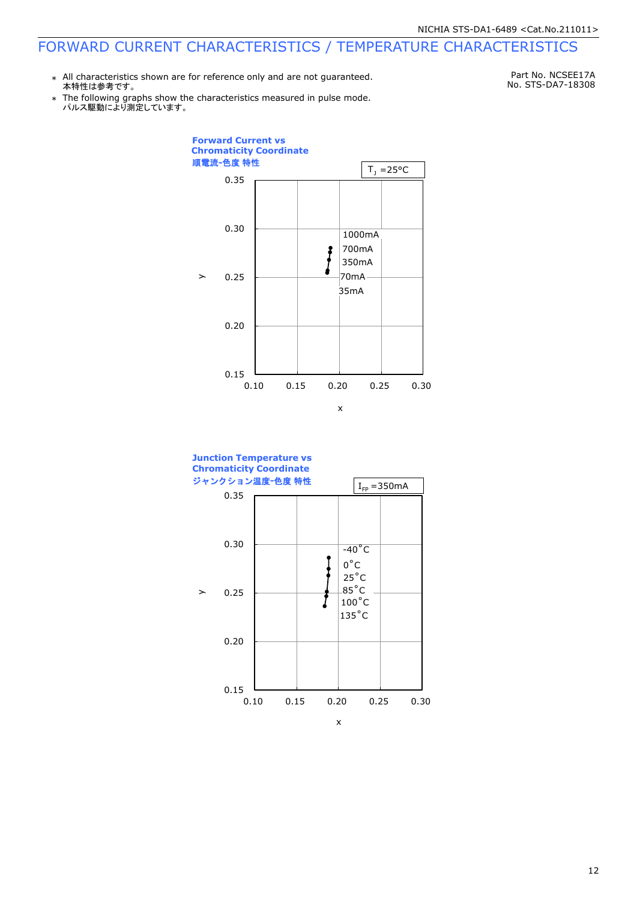### FORWARD CURRENT CHARACTERISTICS / TEMPERATURE CHARACTERISTICS

\* All characteristics shown are for reference only and are not guaranteed. 本特性は参考です。

Part No. NCSEE17A No. STS-DA7-18308

\* Ine following graphs show th<br>パルス駆動により測定しています。 The following graphs show the characteristics measured in pulse mode.



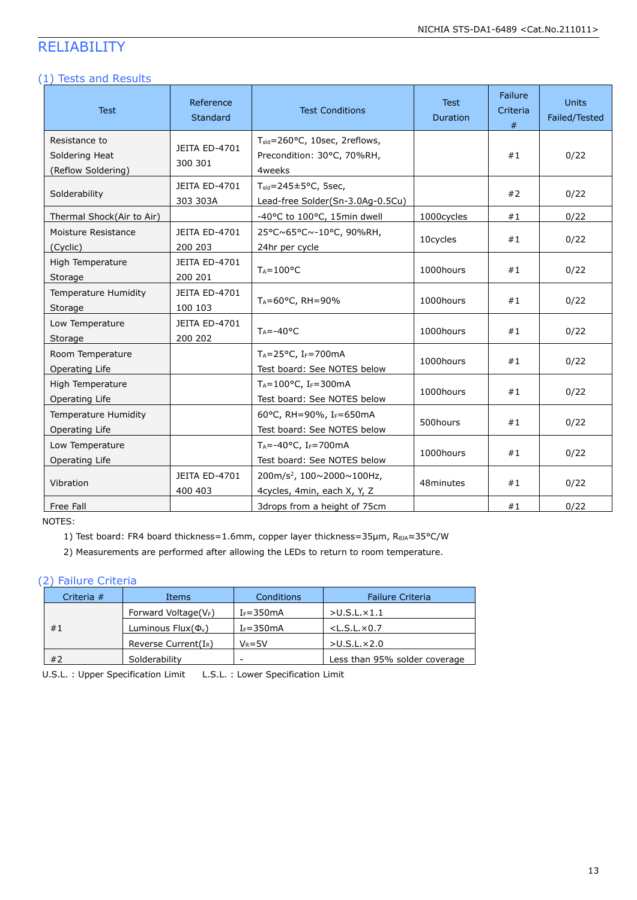### RELIABILITY

#### (1) Tests and Results

| <b>Test</b>                                           | Reference<br><b>Standard</b>    | <b>Test Conditions</b>                                                            | <b>Test</b><br>Duration | Failure<br>Criteria<br># | <b>Units</b><br>Failed/Tested |
|-------------------------------------------------------|---------------------------------|-----------------------------------------------------------------------------------|-------------------------|--------------------------|-------------------------------|
| Resistance to<br>Soldering Heat<br>(Reflow Soldering) | JEITA ED-4701<br>300 301        | T <sub>sld</sub> =260°C, 10sec, 2reflows,<br>Precondition: 30°C, 70%RH,<br>4weeks |                         | #1                       | 0/22                          |
| Solderability                                         | JEITA ED-4701<br>303 303A       | $T_{\text{std}} = 245 \pm 5^{\circ}$ C, 5sec,<br>Lead-free Solder(Sn-3.0Ag-0.5Cu) |                         | #2                       | 0/22                          |
| Thermal Shock(Air to Air)                             |                                 | -40°C to 100°C, 15min dwell                                                       | 1000cycles              | #1                       | 0/22                          |
| Moisture Resistance<br>(Cyclic)                       | <b>JEITA ED-4701</b><br>200 203 | 25°C~65°C~-10°C, 90%RH,<br>24hr per cycle                                         | 10cycles                | #1                       | 0/22                          |
| High Temperature<br>Storage                           | JEITA ED-4701<br>200 201        | $T_A = 100$ °C                                                                    | 1000hours               | #1                       | 0/22                          |
| <b>Temperature Humidity</b><br>Storage                | JEITA ED-4701<br>100 103        | TA=60°C, RH=90%                                                                   | 1000hours               | #1                       | 0/22                          |
| Low Temperature<br>Storage                            | JEITA ED-4701<br>200 202        | $T_A = -40$ °C                                                                    | 1000hours               | #1                       | 0/22                          |
| Room Temperature<br>Operating Life                    |                                 | $T_A = 25$ °C, I <sub>F</sub> =700mA<br>Test board: See NOTES below               | 1000hours               | #1                       | 0/22                          |
| High Temperature<br>Operating Life                    |                                 | $T_A = 100^{\circ}$ C, I <sub>F</sub> =300mA<br>Test board: See NOTES below       | 1000hours               | #1                       | 0/22                          |
| <b>Temperature Humidity</b><br>Operating Life         |                                 | 60°C, RH=90%, IF=650mA<br>Test board: See NOTES below                             | 500hours                | #1                       | 0/22                          |
| Low Temperature<br>Operating Life                     |                                 | $T_A = -40$ °C, I <sub>F</sub> =700mA<br>Test board: See NOTES below              | 1000hours               | #1                       | 0/22                          |
| Vibration                                             | JEITA ED-4701<br>400 403        | 200m/s <sup>2</sup> , 100~2000~100Hz,<br>4cycles, 4min, each X, Y, Z              | 48minutes               | #1                       | 0/22                          |
| Free Fall                                             |                                 | 3drops from a height of 75cm                                                      |                         | #1                       | 0/22                          |

NOTES:

1) Test board: FR4 board thickness=1.6mm, copper layer thickness=35μm, RθJA≈35°C/W

2) Measurements are performed after allowing the LEDs to return to room temperature.

### (2) Failure Criteria

| Criteria # | Items                      | Conditions    | <b>Failure Criteria</b>       |
|------------|----------------------------|---------------|-------------------------------|
|            | Forward Voltage( $V_F$ )   | $I_F = 350mA$ | $>$ U.S.L. $\times$ 1.1       |
| #1         | Luminous Flux $(\Phi_{v})$ | $I_F = 350mA$ | $<$ L.S.L. $\times$ 0.7       |
|            | Reverse Current( $I_R$ )   | $V_R = 5V$    | $>U.S.L. \times 2.0$          |
| #2         | Solderability              | -             | Less than 95% solder coverage |

U.S.L. : Upper Specification Limit L.S.L. : Lower Specification Limit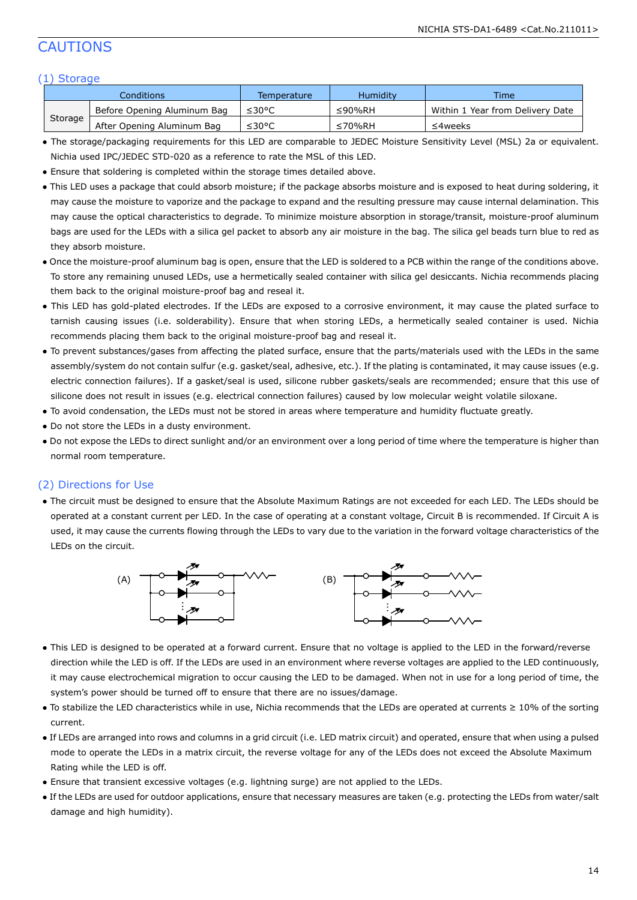### CAUTIONS

#### (1) Storage

|         | Conditions :                | Temperature | Humidity | <b>Time</b>                      |
|---------|-----------------------------|-------------|----------|----------------------------------|
|         | Before Opening Aluminum Bag | ≤30°C       | ≤90%RH   | Within 1 Year from Delivery Date |
| Storage | After Opening Aluminum Bag  | ≤30°C       | ≤70%RH   | ≤4weeks                          |

- The storage/packaging requirements for this LED are comparable to JEDEC Moisture Sensitivity Level (MSL) 2a or equivalent. Nichia used IPC/JEDEC STD-020 as a reference to rate the MSL of this LED.
- Ensure that soldering is completed within the storage times detailed above.
- This LED uses a package that could absorb moisture; if the package absorbs moisture and is exposed to heat during soldering, it may cause the moisture to vaporize and the package to expand and the resulting pressure may cause internal delamination. This may cause the optical characteristics to degrade. To minimize moisture absorption in storage/transit, moisture-proof aluminum bags are used for the LEDs with a silica gel packet to absorb any air moisture in the bag. The silica gel beads turn blue to red as they absorb moisture.
- Once the moisture-proof aluminum bag is open, ensure that the LED is soldered to a PCB within the range of the conditions above. To store any remaining unused LEDs, use a hermetically sealed container with silica gel desiccants. Nichia recommends placing them back to the original moisture-proof bag and reseal it.
- This LED has gold-plated electrodes. If the LEDs are exposed to a corrosive environment, it may cause the plated surface to tarnish causing issues (i.e. solderability). Ensure that when storing LEDs, a hermetically sealed container is used. Nichia recommends placing them back to the original moisture-proof bag and reseal it.
- To prevent substances/gases from affecting the plated surface, ensure that the parts/materials used with the LEDs in the same assembly/system do not contain sulfur (e.g. gasket/seal, adhesive, etc.). If the plating is contaminated, it may cause issues (e.g. electric connection failures). If a gasket/seal is used, silicone rubber gaskets/seals are recommended; ensure that this use of silicone does not result in issues (e.g. electrical connection failures) caused by low molecular weight volatile siloxane.
- To avoid condensation, the LEDs must not be stored in areas where temperature and humidity fluctuate greatly.
- Do not store the LEDs in a dusty environment.
- Do not expose the LEDs to direct sunlight and/or an environment over a long period of time where the temperature is higher than normal room temperature.

#### (2) Directions for Use

● The circuit must be designed to ensure that the Absolute Maximum Ratings are not exceeded for each LED. The LEDs should be operated at a constant current per LED. In the case of operating at a constant voltage, Circuit B is recommended. If Circuit A is used, it may cause the currents flowing through the LEDs to vary due to the variation in the forward voltage characteristics of the LEDs on the circuit.



- This LED is designed to be operated at a forward current. Ensure that no voltage is applied to the LED in the forward/reverse direction while the LED is off. If the LEDs are used in an environment where reverse voltages are applied to the LED continuously, it may cause electrochemical migration to occur causing the LED to be damaged. When not in use for a long period of time, the system's power should be turned off to ensure that there are no issues/damage.
- To stabilize the LED characteristics while in use, Nichia recommends that the LEDs are operated at currents ≥ 10% of the sorting current.
- If LEDs are arranged into rows and columns in a grid circuit (i.e. LED matrix circuit) and operated, ensure that when using a pulsed mode to operate the LEDs in a matrix circuit, the reverse voltage for any of the LEDs does not exceed the Absolute Maximum Rating while the LED is off.
- Ensure that transient excessive voltages (e.g. lightning surge) are not applied to the LEDs.
- If the LEDs are used for outdoor applications, ensure that necessary measures are taken (e.g. protecting the LEDs from water/salt damage and high humidity).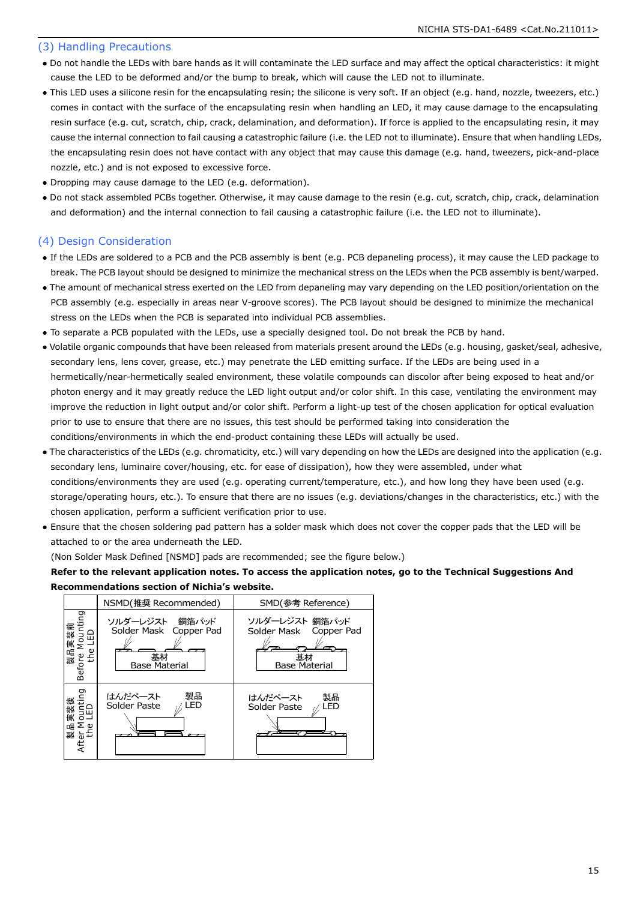#### (3) Handling Precautions

- Do not handle the LEDs with bare hands as it will contaminate the LED surface and may affect the optical characteristics: it might cause the LED to be deformed and/or the bump to break, which will cause the LED not to illuminate.
- This LED uses a silicone resin for the encapsulating resin; the silicone is very soft. If an object (e.g. hand, nozzle, tweezers, etc.) comes in contact with the surface of the encapsulating resin when handling an LED, it may cause damage to the encapsulating resin surface (e.g. cut, scratch, chip, crack, delamination, and deformation). If force is applied to the encapsulating resin, it may cause the internal connection to fail causing a catastrophic failure (i.e. the LED not to illuminate). Ensure that when handling LEDs, the encapsulating resin does not have contact with any object that may cause this damage (e.g. hand, tweezers, pick-and-place nozzle, etc.) and is not exposed to excessive force.
- Dropping may cause damage to the LED (e.g. deformation).
- Do not stack assembled PCBs together. Otherwise, it may cause damage to the resin (e.g. cut, scratch, chip, crack, delamination and deformation) and the internal connection to fail causing a catastrophic failure (i.e. the LED not to illuminate).

### (4) Design Consideration

- If the LEDs are soldered to a PCB and the PCB assembly is bent (e.g. PCB depaneling process), it may cause the LED package to break. The PCB layout should be designed to minimize the mechanical stress on the LEDs when the PCB assembly is bent/warped.
- The amount of mechanical stress exerted on the LED from depaneling may vary depending on the LED position/orientation on the PCB assembly (e.g. especially in areas near V-groove scores). The PCB layout should be designed to minimize the mechanical stress on the LEDs when the PCB is separated into individual PCB assemblies.
- To separate a PCB populated with the LEDs, use a specially designed tool. Do not break the PCB by hand.
- Volatile organic compounds that have been released from materials present around the LEDs (e.g. housing, gasket/seal, adhesive, secondary lens, lens cover, grease, etc.) may penetrate the LED emitting surface. If the LEDs are being used in a hermetically/near-hermetically sealed environment, these volatile compounds can discolor after being exposed to heat and/or photon energy and it may greatly reduce the LED light output and/or color shift. In this case, ventilating the environment may improve the reduction in light output and/or color shift. Perform a light-up test of the chosen application for optical evaluation prior to use to ensure that there are no issues, this test should be performed taking into consideration the conditions/environments in which the end-product containing these LEDs will actually be used.
- The characteristics of the LEDs (e.g. chromaticity, etc.) will vary depending on how the LEDs are designed into the application (e.g. secondary lens, luminaire cover/housing, etc. for ease of dissipation), how they were assembled, under what conditions/environments they are used (e.g. operating current/temperature, etc.), and how long they have been used (e.g. storage/operating hours, etc.). To ensure that there are no issues (e.g. deviations/changes in the characteristics, etc.) with the chosen application, perform a sufficient verification prior to use.
- Ensure that the chosen soldering pad pattern has a solder mask which does not cover the copper pads that the LED will be attached to or the area underneath the LED.

(Non Solder Mask Defined [NSMD] pads are recommended; see the figure below.)

#### **Refer to the relevant application notes. To access the application notes, go to the Technical Suggestions And Recommendations section of Nichia's website.**

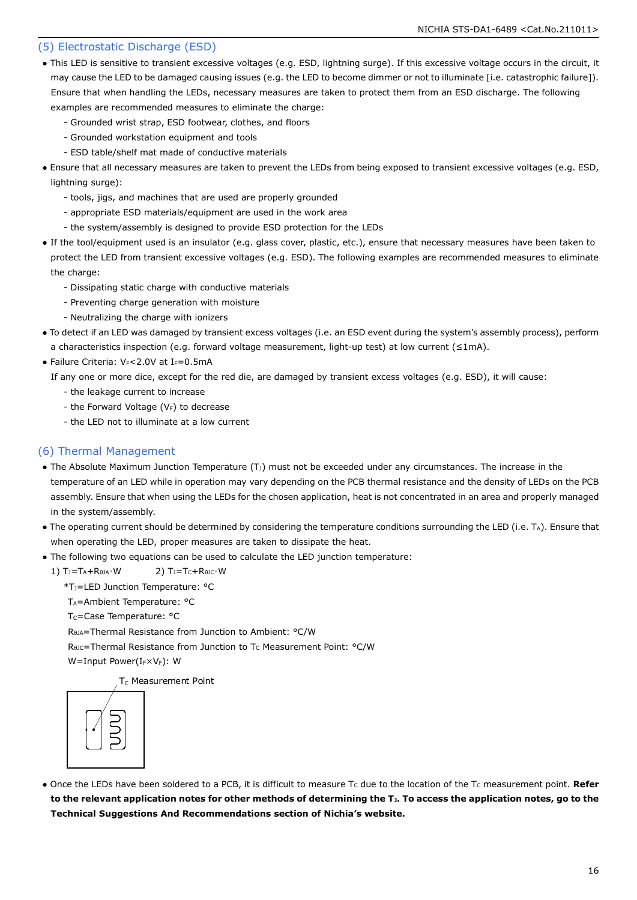#### (5) Electrostatic Discharge (ESD)

- This LED is sensitive to transient excessive voltages (e.g. ESD, lightning surge). If this excessive voltage occurs in the circuit, it may cause the LED to be damaged causing issues (e.g. the LED to become dimmer or not to illuminate [i.e. catastrophic failure]). Ensure that when handling the LEDs, necessary measures are taken to protect them from an ESD discharge. The following examples are recommended measures to eliminate the charge:
	- Grounded wrist strap, ESD footwear, clothes, and floors
	- Grounded workstation equipment and tools
	- ESD table/shelf mat made of conductive materials
- Ensure that all necessary measures are taken to prevent the LEDs from being exposed to transient excessive voltages (e.g. ESD, lightning surge):
	- tools, jigs, and machines that are used are properly grounded
	- appropriate ESD materials/equipment are used in the work area
	- the system/assembly is designed to provide ESD protection for the LEDs
- If the tool/equipment used is an insulator (e.g. glass cover, plastic, etc.), ensure that necessary measures have been taken to protect the LED from transient excessive voltages (e.g. ESD). The following examples are recommended measures to eliminate the charge:
	- Dissipating static charge with conductive materials
	- Preventing charge generation with moisture
	- Neutralizing the charge with ionizers
- To detect if an LED was damaged by transient excess voltages (i.e. an ESD event during the system's assembly process), perform a characteristics inspection (e.g. forward voltage measurement, light-up test) at low current (≤1mA).
- Failure Criteria:  $V_F < 2.0V$  at I $_F = 0.5mA$

If any one or more dice, except for the red die, are damaged by transient excess voltages (e.g. ESD), it will cause:

- the leakage current to increase
- the Forward Voltage  $(V_F)$  to decrease
- the LED not to illuminate at a low current

#### (6) Thermal Management

- The Absolute Maximum Junction Temperature  $(T<sub>J</sub>)$  must not be exceeded under any circumstances. The increase in the temperature of an LED while in operation may vary depending on the PCB thermal resistance and the density of LEDs on the PCB assembly. Ensure that when using the LEDs for the chosen application, heat is not concentrated in an area and properly managed in the system/assembly.
- The operating current should be determined by considering the temperature conditions surrounding the LED (i.e. TA). Ensure that when operating the LED, proper measures are taken to dissipate the heat.
- The following two equations can be used to calculate the LED junction temperature:
	- 1)  $T_J = T_A + R_{\thetaJA} \cdot W$  2)  $T_J = T_C + R_{\thetaJC} \cdot W$ 
		- \*TJ=LED Junction Temperature: °C
		- T<sub>A</sub>=Ambient Temperature: °C
		- T<sub>C</sub>=Case Temperature: °C

RθJA=Thermal Resistance from Junction to Ambient: °C/W

R<sub>θJC</sub>=Thermal Resistance from Junction to T<sub>C</sub> Measurement Point: °C/W

W=Input Power(IFXVF): W

T<sub>C</sub> Measurement Point



• Once the LEDs have been soldered to a PCB, it is difficult to measure T<sub>c</sub> due to the location of the T<sub>C</sub> measurement point. **Refer to the relevant application notes for other methods of determining the TJ. To access the application notes, go to the Technical Suggestions And Recommendations section of Nichia's website.**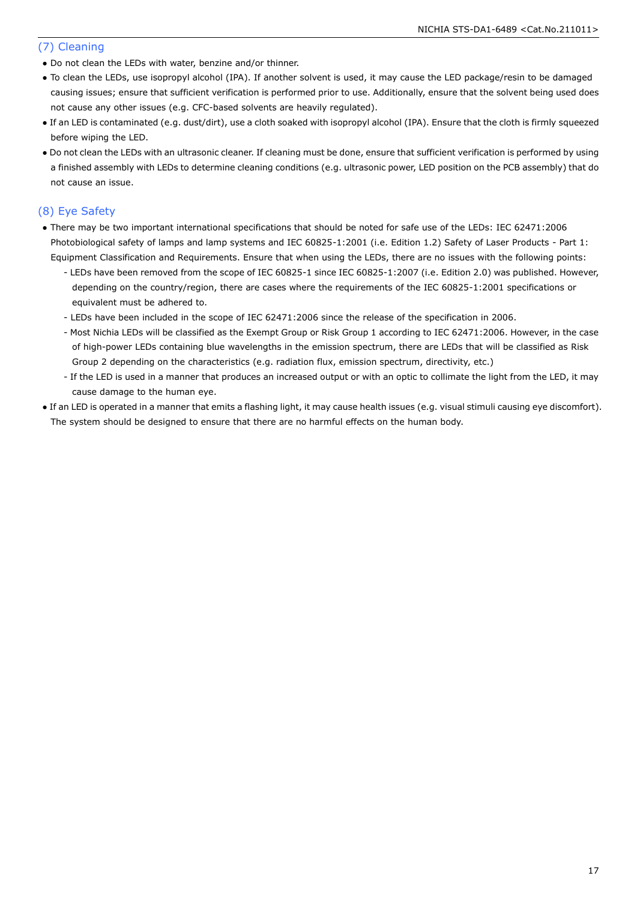#### (7) Cleaning

- Do not clean the LEDs with water, benzine and/or thinner.
- To clean the LEDs, use isopropyl alcohol (IPA). If another solvent is used, it may cause the LED package/resin to be damaged causing issues; ensure that sufficient verification is performed prior to use. Additionally, ensure that the solvent being used does not cause any other issues (e.g. CFC-based solvents are heavily regulated).
- If an LED is contaminated (e.g. dust/dirt), use a cloth soaked with isopropyl alcohol (IPA). Ensure that the cloth is firmly squeezed before wiping the LED.
- Do not clean the LEDs with an ultrasonic cleaner. If cleaning must be done, ensure that sufficient verification is performed by using a finished assembly with LEDs to determine cleaning conditions (e.g. ultrasonic power, LED position on the PCB assembly) that do not cause an issue.

#### (8) Eye Safety

- There may be two important international specifications that should be noted for safe use of the LEDs: IEC 62471:2006 Photobiological safety of lamps and lamp systems and IEC 60825-1:2001 (i.e. Edition 1.2) Safety of Laser Products - Part 1: Equipment Classification and Requirements. Ensure that when using the LEDs, there are no issues with the following points:
	- LEDs have been removed from the scope of IEC 60825-1 since IEC 60825-1:2007 (i.e. Edition 2.0) was published. However, depending on the country/region, there are cases where the requirements of the IEC 60825-1:2001 specifications or equivalent must be adhered to.
	- LEDs have been included in the scope of IEC 62471:2006 since the release of the specification in 2006.
	- Most Nichia LEDs will be classified as the Exempt Group or Risk Group 1 according to IEC 62471:2006. However, in the case of high-power LEDs containing blue wavelengths in the emission spectrum, there are LEDs that will be classified as Risk Group 2 depending on the characteristics (e.g. radiation flux, emission spectrum, directivity, etc.)
	- If the LED is used in a manner that produces an increased output or with an optic to collimate the light from the LED, it may cause damage to the human eye.
- If an LED is operated in a manner that emits a flashing light, it may cause health issues (e.g. visual stimuli causing eye discomfort). The system should be designed to ensure that there are no harmful effects on the human body.